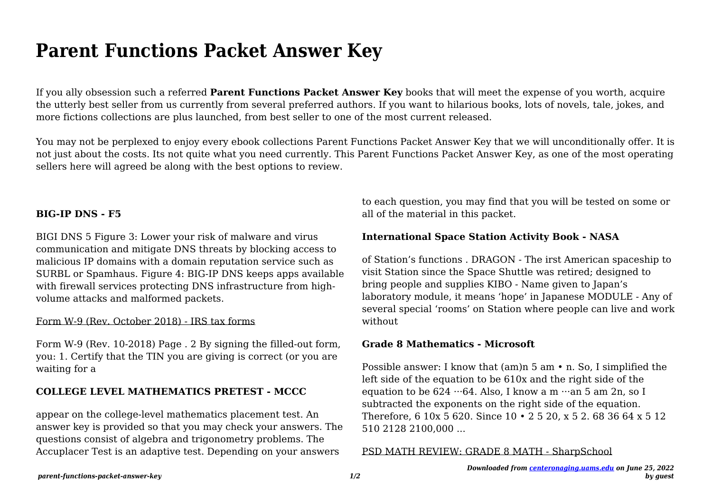# **Parent Functions Packet Answer Key**

If you ally obsession such a referred **Parent Functions Packet Answer Key** books that will meet the expense of you worth, acquire the utterly best seller from us currently from several preferred authors. If you want to hilarious books, lots of novels, tale, jokes, and more fictions collections are plus launched, from best seller to one of the most current released.

You may not be perplexed to enjoy every ebook collections Parent Functions Packet Answer Key that we will unconditionally offer. It is not just about the costs. Its not quite what you need currently. This Parent Functions Packet Answer Key, as one of the most operating sellers here will agreed be along with the best options to review.

# **BIG-IP DNS - F5**

BIGI DNS 5 Figure 3: Lower your risk of malware and virus communication and mitigate DNS threats by blocking access to malicious IP domains with a domain reputation service such as SURBL or Spamhaus. Figure 4: BIG-IP DNS keeps apps available with firewall services protecting DNS infrastructure from highvolume attacks and malformed packets.

### Form W-9 (Rev. October 2018) - IRS tax forms

Form W-9 (Rev. 10-2018) Page . 2 By signing the filled-out form, you: 1. Certify that the TIN you are giving is correct (or you are waiting for a

# **COLLEGE LEVEL MATHEMATICS PRETEST - MCCC**

appear on the college-level mathematics placement test. An answer key is provided so that you may check your answers. The questions consist of algebra and trigonometry problems. The Accuplacer Test is an adaptive test. Depending on your answers

to each question, you may find that you will be tested on some or all of the material in this packet.

# **International Space Station Activity Book - NASA**

of Station's functions . DRAGON - The irst American spaceship to visit Station since the Space Shuttle was retired; designed to bring people and supplies KIBO - Name given to Japan's laboratory module, it means 'hope' in Japanese MODULE - Any of several special 'rooms' on Station where people can live and work without

# **Grade 8 Mathematics - Microsoft**

Possible answer: I know that (am)n 5 am • n. So, I simplified the left side of the equation to be 610x and the right side of the equation to be  $624 \cdot 64$ . Also, I know a m  $\cdot \cdot$  an 5 am 2n, so I subtracted the exponents on the right side of the equation. Therefore, 6 10x 5 620. Since 10 • 2 5 20, x 5 2. 68 36 64 x 5 12 510 2128 2100,000 ...

### PSD MATH REVIEW: GRADE 8 MATH - SharpSchool